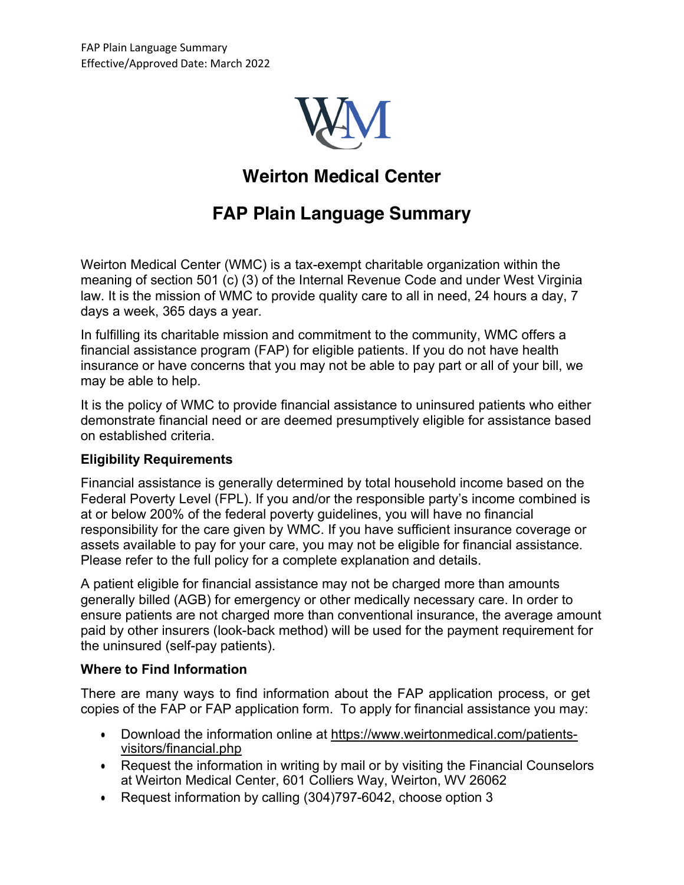

# **Weirton Medical Center**

# **FAP Plain Language Summary**

Weirton Medical Center (WMC) is a tax-exempt charitable organization within the meaning of section 501 (c) (3) of the Internal Revenue Code and under West Virginia law. It is the mission of WMC to provide quality care to all in need, 24 hours a day, 7 days a week, 365 days a year.

In fulfilling its charitable mission and commitment to the community, WMC offers a financial assistance program (FAP) for eligible patients. If you do not have health insurance or have concerns that you may not be able to pay part or all of your bill, we may be able to help.

It is the policy of WMC to provide financial assistance to uninsured patients who either demonstrate financial need or are deemed presumptively eligible for assistance based on established criteria.

### **Eligibility Requirements**

Financial assistance is generally determined by total household income based on the Federal Poverty Level (FPL). If you and/or the responsible party's income combined is at or below 200% of the federal poverty guidelines, you will have no financial responsibility for the care given by WMC. If you have sufficient insurance coverage or assets available to pay for your care, you may not be eligible for financial assistance. Please refer to the full policy for a complete explanation and details.

A patient eligible for financial assistance may not be charged more than amounts generally billed (AGB) for emergency or other medically necessary care. In order to ensure patients are not charged more than conventional insurance, the average amount paid by other insurers (look-back method) will be used for the payment requirement for the uninsured (self-pay patients).

### **Where to Find Information**

There are many ways to find information about the FAP application process, or get copies of the FAP or FAP application form. To apply for financial assistance you may:

- Download the information online at https://www.weirtonmedical.com/patientsvisitors/financial.php
- Request the information in writing by mail or by visiting the Financial Counselors at Weirton Medical Center, 601 Colliers Way, Weirton, WV 26062
- Request information by calling (304)797-6042, choose option 3